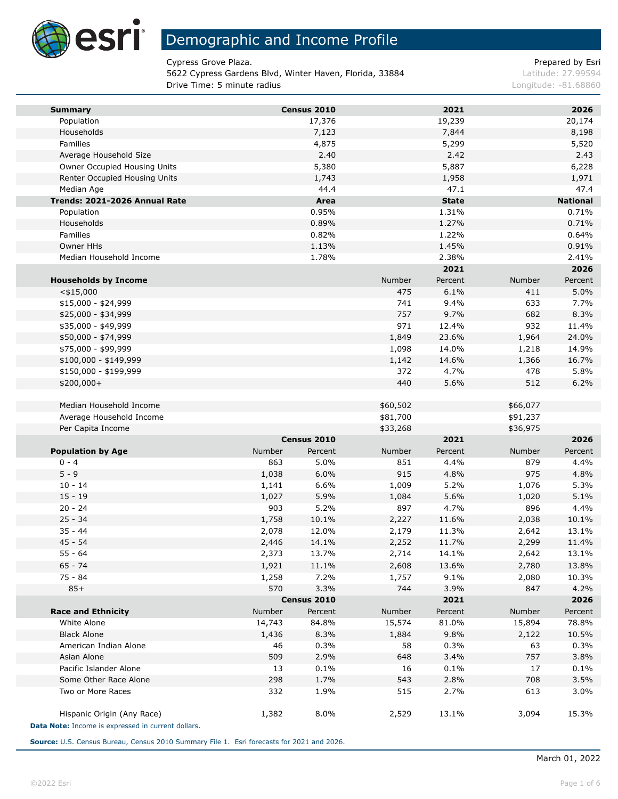

m.

## Demographic and Income Profile

Cypress Grove Plaza. The extension of the extendion of the Prepared by Esri

5622 Cypress Gardens Blvd, Winter Haven, Florida, 33884 Latitude: 27.99594 **Drive Time: 5 minute radius Congress 2008 120 and 2009 120 and 2009 120 and 2009 120 and 2009 120 and 2009 120 and 2009 120 and 2009 120 and 2009 120 and 2009 120 and 2009 120 and 2009 120 and 2009 120 and 2009 120 and** 

| <b>Summary</b>                                     |        | Census 2010 |          | 2021         |          | 2026            |
|----------------------------------------------------|--------|-------------|----------|--------------|----------|-----------------|
| Population                                         |        | 17,376      |          | 19,239       |          | 20,174          |
| Households                                         |        | 7,123       |          | 7,844        |          | 8,198           |
| Families                                           |        | 4,875       |          | 5,299        |          | 5,520           |
| Average Household Size                             |        | 2.40        |          | 2.42         |          | 2.43            |
| Owner Occupied Housing Units                       |        | 5,380       |          | 5,887        |          | 6,228           |
| Renter Occupied Housing Units                      |        | 1,743       |          | 1,958        |          | 1,971           |
| Median Age                                         |        | 44.4        |          | 47.1         |          | 47.4            |
| Trends: 2021-2026 Annual Rate                      |        | Area        |          | <b>State</b> |          | <b>National</b> |
| Population                                         |        | 0.95%       |          | 1.31%        |          | 0.71%           |
| Households                                         |        | 0.89%       |          | 1.27%        |          | 0.71%           |
| Families                                           |        | 0.82%       |          | 1.22%        |          | 0.64%           |
| Owner HHs                                          |        | 1.13%       |          | 1.45%        |          | 0.91%           |
| Median Household Income                            |        | 1.78%       |          | 2.38%        |          | 2.41%           |
|                                                    |        |             |          | 2021         |          | 2026            |
| <b>Households by Income</b>                        |        |             | Number   | Percent      | Number   | Percent         |
| $<$ \$15,000                                       |        |             | 475      | 6.1%         | 411      | 5.0%            |
| $$15,000 - $24,999$                                |        |             | 741      | 9.4%         | 633      | 7.7%            |
| \$25,000 - \$34,999                                |        |             | 757      | 9.7%         | 682      | 8.3%            |
| \$35,000 - \$49,999                                |        |             | 971      | 12.4%        | 932      | 11.4%           |
| \$50,000 - \$74,999                                |        |             | 1,849    | 23.6%        | 1,964    | 24.0%           |
| \$75,000 - \$99,999                                |        |             | 1,098    | 14.0%        | 1,218    | 14.9%           |
| \$100,000 - \$149,999                              |        |             | 1,142    | 14.6%        | 1,366    | 16.7%           |
| \$150,000 - \$199,999                              |        |             | 372      | 4.7%         | 478      | 5.8%            |
| $$200,000+$                                        |        |             | 440      | 5.6%         | 512      | 6.2%            |
|                                                    |        |             |          |              |          |                 |
| Median Household Income                            |        |             | \$60,502 |              | \$66,077 |                 |
| Average Household Income                           |        |             | \$81,700 |              | \$91,237 |                 |
| Per Capita Income                                  |        |             | \$33,268 |              | \$36,975 |                 |
|                                                    |        | Census 2010 |          | 2021         |          | 2026            |
| <b>Population by Age</b>                           | Number | Percent     | Number   | Percent      | Number   | Percent         |
| $0 - 4$                                            | 863    | 5.0%        | 851      | 4.4%         | 879      | 4.4%            |
| $5 - 9$                                            | 1,038  | 6.0%        | 915      | 4.8%         | 975      | 4.8%            |
| $10 - 14$                                          | 1,141  | 6.6%        | 1,009    | 5.2%         | 1,076    | 5.3%            |
| $15 - 19$                                          | 1,027  | 5.9%        | 1,084    | 5.6%         | 1,020    | 5.1%            |
| $20 - 24$                                          | 903    | 5.2%        | 897      | 4.7%         | 896      | 4.4%            |
| $25 - 34$                                          | 1,758  | 10.1%       | 2,227    | 11.6%        | 2,038    | 10.1%           |
| $35 - 44$                                          | 2,078  | 12.0%       | 2,179    | 11.3%        | 2,642    | 13.1%           |
| $45 - 54$                                          | 2,446  | 14.1%       | 2,252    | 11.7%        | 2,299    | 11.4%           |
| $55 - 64$                                          | 2,373  | 13.7%       | 2,714    | 14.1%        | 2,642    | 13.1%           |
| $65 - 74$                                          | 1,921  | 11.1%       | 2,608    | 13.6%        | 2,780    | 13.8%           |
| $75 - 84$                                          | 1,258  | 7.2%        | 1,757    | 9.1%         | 2,080    | 10.3%           |
| $85+$                                              | 570    | 3.3%        | 744      | 3.9%         | 847      | 4.2%            |
|                                                    |        | Census 2010 |          | 2021         |          | 2026            |
| <b>Race and Ethnicity</b>                          | Number | Percent     | Number   | Percent      | Number   | Percent         |
| White Alone                                        | 14,743 | 84.8%       | 15,574   | 81.0%        | 15,894   | 78.8%           |
| <b>Black Alone</b>                                 | 1,436  | 8.3%        | 1,884    | 9.8%         | 2,122    | 10.5%           |
| American Indian Alone                              | 46     | 0.3%        | 58       | 0.3%         | 63       | 0.3%            |
| Asian Alone                                        | 509    | 2.9%        | 648      | 3.4%         | 757      | 3.8%            |
| Pacific Islander Alone                             | 13     | 0.1%        | 16       | 0.1%         | 17       | 0.1%            |
| Some Other Race Alone                              | 298    | 1.7%        | 543      | 2.8%         | 708      | 3.5%            |
| Two or More Races                                  | 332    | 1.9%        | 515      | 2.7%         | 613      | 3.0%            |
|                                                    |        |             |          |              |          |                 |
| Hispanic Origin (Any Race)                         | 1,382  | 8.0%        | 2,529    | 13.1%        | 3,094    | 15.3%           |
| Data Note: Income is expressed in current dollars. |        |             |          |              |          |                 |

**Source:** U.S. Census Bureau, Census 2010 Summary File 1. Esri forecasts for 2021 and 2026.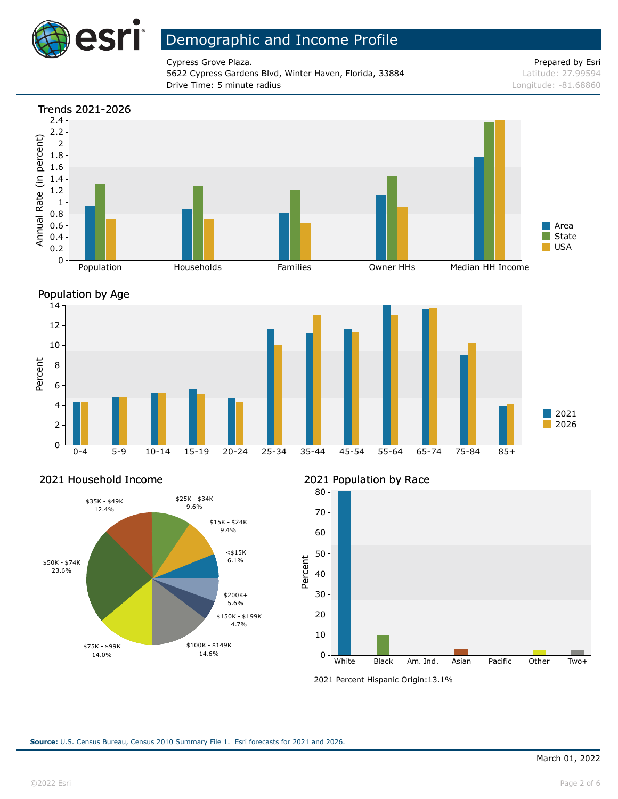

Cypress Grove Plaza. **Prepared by Esri** extended by Esri extended by Esri extended by Esri extended by Esri extended by Esri extended by Esri extended by Esri extended by Esri extended by Esri extended by Esri extended by 5622 Cypress Gardens Blvd, Winter Haven, Florida, 33884 Latitude: 27.99594 **Drive Time: 5 minute radius Constanting Constanting Constanting Constanting Constanting Constanting Constanting Constanting Constanting Constanting Constanting Constanting Constanting Constanting Constanting Constanting** 





#### 2021 Household Income



### 2021 Population by Race



<sup>2021</sup> Percent Hispanic Origin: 13.1%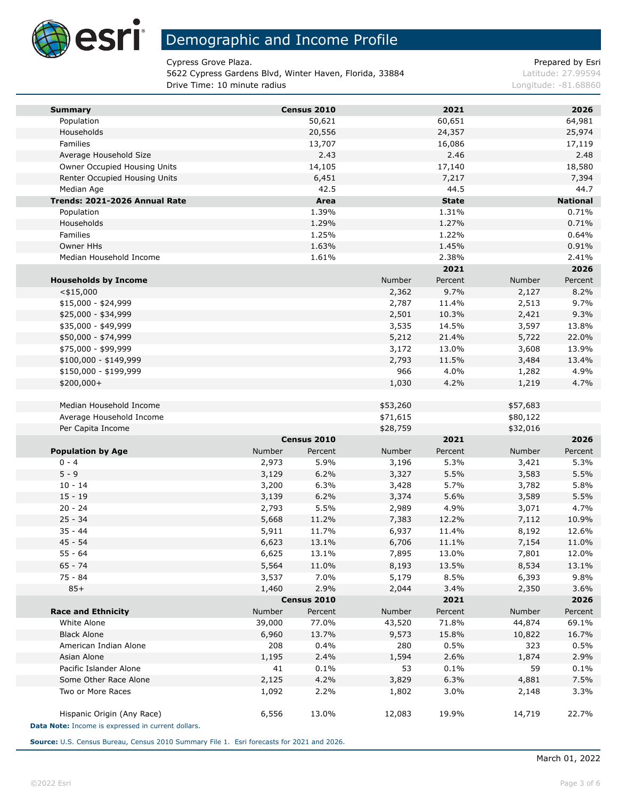

Cypress Grove Plaza. The extension of the extendion of the Prepared by Esri

5622 Cypress Gardens Blvd, Winter Haven, Florida, 33884 Latitude: 27.99594 **Drive Time: 10 minute radius Longitude: -81.68860 Congitude: -81.68860** 

| <b>Summary</b>                                     |        | Census 2010            |                | 2021          |          | 2026            |
|----------------------------------------------------|--------|------------------------|----------------|---------------|----------|-----------------|
| Population                                         |        | 50,621                 |                | 60,651        |          | 64,981          |
| Households                                         |        | 20,556                 |                | 24,357        |          | 25,974          |
| Families                                           |        | 13,707                 |                | 16,086        |          | 17,119          |
| Average Household Size                             |        | 2.43                   |                | 2.46          |          | 2.48            |
| Owner Occupied Housing Units                       |        | 14,105                 |                | 17,140        |          | 18,580          |
| Renter Occupied Housing Units                      |        | 6,451                  |                | 7,217         |          | 7,394           |
| Median Age                                         |        | 42.5                   |                | 44.5          |          | 44.7            |
| Trends: 2021-2026 Annual Rate                      |        | Area                   |                | <b>State</b>  |          | <b>National</b> |
| Population                                         |        | 1.39%                  |                | 1.31%         |          | 0.71%           |
| Households                                         |        | 1.29%                  |                | 1.27%         |          | 0.71%           |
| Families                                           |        | 1.25%                  |                | 1.22%         |          | 0.64%           |
| Owner HHs                                          |        | 1.63%                  |                | 1.45%         |          | 0.91%           |
| Median Household Income                            |        | 1.61%                  |                | 2.38%<br>2021 |          | 2.41%<br>2026   |
|                                                    |        |                        | Number         | Percent       | Number   | Percent         |
| <b>Households by Income</b><br>$<$ \$15,000        |        |                        |                | 9.7%          | 2,127    | 8.2%            |
| $$15,000 - $24,999$                                |        |                        | 2,362<br>2,787 | 11.4%         | 2,513    | 9.7%            |
| \$25,000 - \$34,999                                |        |                        | 2,501          | 10.3%         | 2,421    | 9.3%            |
| \$35,000 - \$49,999                                |        |                        | 3,535          | 14.5%         | 3,597    | 13.8%           |
| \$50,000 - \$74,999                                |        |                        | 5,212          | 21.4%         | 5,722    | 22.0%           |
| \$75,000 - \$99,999                                |        |                        | 3,172          | 13.0%         | 3,608    | 13.9%           |
| $$100,000 - $149,999$                              |        |                        | 2,793          | 11.5%         | 3,484    | 13.4%           |
| \$150,000 - \$199,999                              |        |                        | 966            | 4.0%          | 1,282    | 4.9%            |
| \$200,000+                                         |        |                        | 1,030          | 4.2%          | 1,219    | 4.7%            |
|                                                    |        |                        |                |               |          |                 |
| Median Household Income                            |        |                        | \$53,260       |               | \$57,683 |                 |
| Average Household Income                           |        |                        | \$71,615       |               | \$80,122 |                 |
| Per Capita Income                                  |        |                        | \$28,759       |               | \$32,016 |                 |
|                                                    |        | Census 2010            |                | 2021          |          | 2026            |
| <b>Population by Age</b>                           | Number | Percent                | Number         | Percent       | Number   | Percent         |
| $0 - 4$                                            | 2,973  | 5.9%                   | 3,196          | 5.3%          | 3,421    | 5.3%            |
| $5 - 9$                                            | 3,129  | 6.2%                   | 3,327          | 5.5%          | 3,583    | 5.5%            |
| $10 - 14$                                          | 3,200  | 6.3%                   | 3,428          | 5.7%          | 3,782    | 5.8%            |
| $15 - 19$                                          | 3,139  | 6.2%                   | 3,374          | 5.6%          | 3,589    | 5.5%            |
| $20 - 24$                                          | 2,793  | 5.5%                   | 2,989          | 4.9%          | 3,071    | 4.7%            |
| $25 - 34$                                          | 5,668  | 11.2%                  | 7,383          | 12.2%         | 7,112    | 10.9%           |
| $35 - 44$                                          | 5,911  | 11.7%                  | 6,937          | 11.4%         | 8,192    | 12.6%           |
| $45 - 54$                                          | 6,623  | 13.1%                  | 6,706          | 11.1%         | 7,154    | 11.0%           |
| $55 - 64$                                          | 6,625  | 13.1%                  | 7,895          | 13.0%         | 7,801    | 12.0%           |
| $65 - 74$                                          | 5,564  | 11.0%                  | 8,193          | 13.5%         | 8,534    | 13.1%           |
| 75 - 84                                            | 3,537  | 7.0%                   | 5,179          | 8.5%          | 6,393    | 9.8%            |
| $85+$                                              | 1,460  | 2.9%                   | 2,044          | 3.4%<br>2021  | 2,350    | 3.6%            |
| <b>Race and Ethnicity</b>                          | Number | Census 2010<br>Percent | Number         | Percent       | Number   | 2026<br>Percent |
| White Alone                                        | 39,000 | 77.0%                  | 43,520         | 71.8%         | 44,874   | 69.1%           |
| <b>Black Alone</b>                                 | 6,960  | 13.7%                  | 9,573          | 15.8%         | 10,822   | 16.7%           |
| American Indian Alone                              | 208    | 0.4%                   | 280            | 0.5%          | 323      | 0.5%            |
| Asian Alone                                        | 1,195  | 2.4%                   | 1,594          | 2.6%          | 1,874    | 2.9%            |
| Pacific Islander Alone                             | 41     | 0.1%                   | 53             | 0.1%          | 59       | 0.1%            |
| Some Other Race Alone                              | 2,125  | 4.2%                   | 3,829          | 6.3%          | 4,881    | 7.5%            |
| Two or More Races                                  | 1,092  | 2.2%                   | 1,802          | 3.0%          | 2,148    | 3.3%            |
|                                                    |        |                        |                |               |          |                 |
| Hispanic Origin (Any Race)                         | 6,556  | 13.0%                  | 12,083         | 19.9%         | 14,719   | 22.7%           |
| Data Note: Income is expressed in current dollars. |        |                        |                |               |          |                 |

**Source:** U.S. Census Bureau, Census 2010 Summary File 1. Esri forecasts for 2021 and 2026.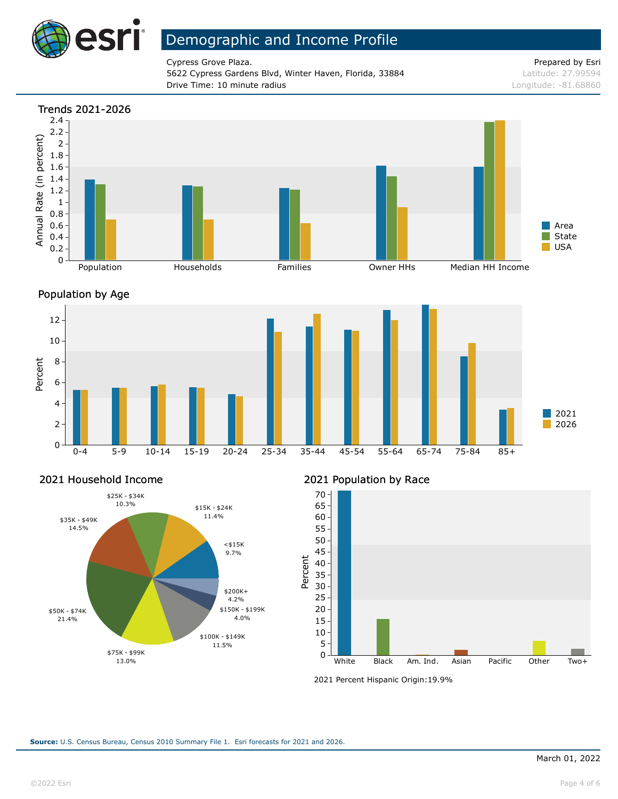

Cypress Grove Plaza. **Prepared by Esri** extended by Esri extended by Esri extended by Esri extended by Esri extended by Esri extended by Esri extended by Esri extended by Esri extended by Esri extended by Esri extended by 5622 Cypress Gardens Blvd, Winter Haven, Florida, 33884 Latitude: 27.99594 **Drive Time: 10 minute radius Longitude: -81.68860 Longitude: -81.68860** 







#### 2021 Household Income



### 2021 Population by Race



<sup>2021</sup> Percent Hispanic Origin: 19.9%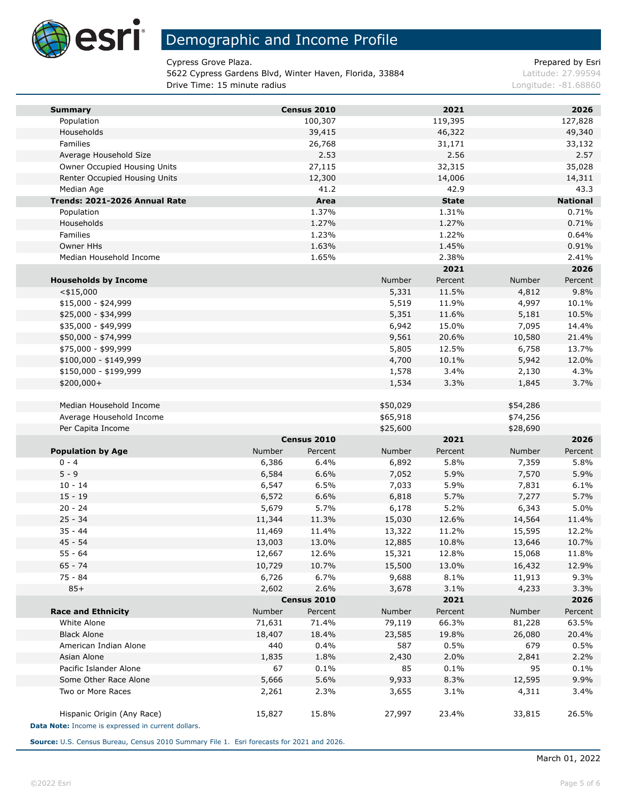

**Ta** 

# Demographic and Income Profile

Cypress Grove Plaza. The extension of the extendion of the Prepared by Esri

5622 Cypress Gardens Blvd, Winter Haven, Florida, 33884 Latitude: 27.99594 **Drive Time: 15 minute radius Longitude: -81.68860 Congitude: -81.68860** 

| <b>Summary</b>                                     |        | Census 2010 |          | 2021         |          | 2026            |
|----------------------------------------------------|--------|-------------|----------|--------------|----------|-----------------|
| Population                                         |        | 100,307     |          | 119,395      |          | 127,828         |
| Households                                         |        | 39,415      |          | 46,322       |          | 49,340          |
| Families                                           |        | 26,768      |          | 31,171       |          | 33,132          |
| Average Household Size                             |        | 2.53        |          | 2.56         |          | 2.57            |
| Owner Occupied Housing Units                       |        | 27,115      |          | 32,315       |          | 35,028          |
| Renter Occupied Housing Units                      |        | 12,300      |          | 14,006       |          | 14,311          |
| Median Age                                         |        | 41.2        |          | 42.9         |          | 43.3            |
| Trends: 2021-2026 Annual Rate                      |        | Area        |          | <b>State</b> |          | <b>National</b> |
| Population                                         |        | 1.37%       |          | 1.31%        |          | 0.71%           |
| Households                                         |        | 1.27%       |          | 1.27%        |          | 0.71%           |
| Families                                           |        | 1.23%       |          | 1.22%        |          | 0.64%           |
| Owner HHs                                          |        | 1.63%       |          | 1.45%        |          | 0.91%           |
| Median Household Income                            |        | 1.65%       |          | 2.38%        |          | 2.41%           |
|                                                    |        |             |          | 2021         |          | 2026            |
| <b>Households by Income</b>                        |        |             | Number   | Percent      | Number   | Percent         |
| $<$ \$15,000                                       |        |             | 5,331    | 11.5%        | 4,812    | 9.8%            |
| $$15,000 - $24,999$                                |        |             | 5,519    | 11.9%        | 4,997    | 10.1%           |
| \$25,000 - \$34,999                                |        |             | 5,351    | 11.6%        | 5,181    | 10.5%           |
| \$35,000 - \$49,999                                |        |             | 6,942    | 15.0%        | 7,095    | 14.4%           |
| \$50,000 - \$74,999                                |        |             | 9,561    | 20.6%        | 10,580   | 21.4%           |
| \$75,000 - \$99,999                                |        |             | 5,805    | 12.5%        | 6,758    | 13.7%           |
| \$100,000 - \$149,999                              |        |             | 4,700    | 10.1%        | 5,942    | 12.0%           |
| \$150,000 - \$199,999                              |        |             | 1,578    | 3.4%         | 2,130    | 4.3%            |
| \$200,000+                                         |        |             | 1,534    | 3.3%         | 1,845    | 3.7%            |
|                                                    |        |             |          |              |          |                 |
| Median Household Income                            |        |             | \$50,029 |              | \$54,286 |                 |
| Average Household Income<br>Per Capita Income      |        |             | \$65,918 |              | \$74,256 |                 |
|                                                    |        | Census 2010 | \$25,600 | 2021         | \$28,690 | 2026            |
| <b>Population by Age</b>                           | Number | Percent     | Number   | Percent      | Number   | Percent         |
| $0 - 4$                                            | 6,386  | 6.4%        | 6,892    | 5.8%         | 7,359    | 5.8%            |
| $5 - 9$                                            | 6,584  | 6.6%        | 7,052    | 5.9%         | 7,570    | 5.9%            |
| $10 - 14$                                          | 6,547  | 6.5%        | 7,033    | 5.9%         | 7,831    | 6.1%            |
| $15 - 19$                                          | 6,572  | 6.6%        | 6,818    | 5.7%         | 7,277    | 5.7%            |
| $20 - 24$                                          | 5,679  | 5.7%        | 6,178    | 5.2%         | 6,343    | 5.0%            |
| $25 - 34$                                          | 11,344 | 11.3%       | 15,030   | 12.6%        | 14,564   | 11.4%           |
| $35 - 44$                                          | 11,469 | 11.4%       | 13,322   | 11.2%        | 15,595   | 12.2%           |
| $45 - 54$                                          | 13,003 | 13.0%       | 12,885   | 10.8%        | 13,646   | 10.7%           |
| $55 - 64$                                          | 12,667 | 12.6%       | 15,321   | 12.8%        | 15,068   | 11.8%           |
| $65 - 74$                                          | 10,729 | 10.7%       | 15,500   | 13.0%        | 16,432   | 12.9%           |
| 75 - 84                                            | 6,726  | 6.7%        | 9,688    | 8.1%         | 11,913   | 9.3%            |
| $85+$                                              | 2,602  | 2.6%        | 3,678    | 3.1%         | 4,233    | 3.3%            |
|                                                    |        | Census 2010 |          | 2021         |          | 2026            |
| <b>Race and Ethnicity</b>                          | Number | Percent     | Number   | Percent      | Number   | Percent         |
| White Alone                                        | 71,631 | 71.4%       | 79,119   | 66.3%        | 81,228   | 63.5%           |
| <b>Black Alone</b>                                 | 18,407 | 18.4%       | 23,585   | 19.8%        | 26,080   | 20.4%           |
| American Indian Alone                              | 440    | 0.4%        | 587      | 0.5%         | 679      | 0.5%            |
| Asian Alone                                        | 1,835  | 1.8%        | 2,430    | 2.0%         | 2,841    | 2.2%            |
| Pacific Islander Alone                             | 67     | 0.1%        | 85       | 0.1%         | 95       | 0.1%            |
| Some Other Race Alone                              | 5,666  | 5.6%        | 9,933    | 8.3%         | 12,595   | 9.9%            |
| Two or More Races                                  | 2,261  | 2.3%        | 3,655    | 3.1%         | 4,311    | 3.4%            |
|                                                    |        |             |          |              |          |                 |
| Hispanic Origin (Any Race)                         | 15,827 | 15.8%       | 27,997   | 23.4%        | 33,815   | 26.5%           |
| Data Note: Income is expressed in current dollars. |        |             |          |              |          |                 |

**Source:** U.S. Census Bureau, Census 2010 Summary File 1. Esri forecasts for 2021 and 2026.